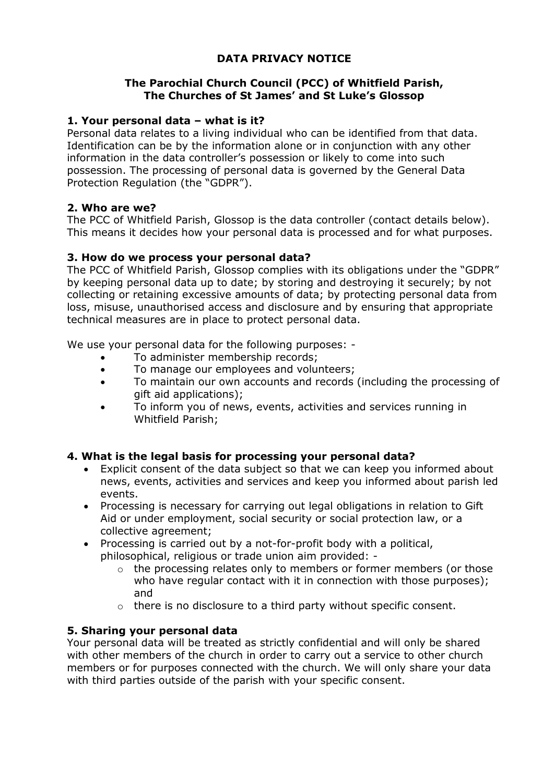## **DATA PRIVACY NOTICE**

#### **The Parochial Church Council (PCC) of Whitfield Parish, The Churches of St James' and St Luke's Glossop**

#### **1. Your personal data – what is it?**

Personal data relates to a living individual who can be identified from that data. Identification can be by the information alone or in conjunction with any other information in the data controller's possession or likely to come into such possession. The processing of personal data is governed by the General Data Protection Regulation (the "GDPR").

#### **2. Who are we?**

The PCC of Whitfield Parish, Glossop is the data controller (contact details below). This means it decides how your personal data is processed and for what purposes.

#### **3. How do we process your personal data?**

The PCC of Whitfield Parish, Glossop complies with its obligations under the "GDPR" by keeping personal data up to date; by storing and destroying it securely; by not collecting or retaining excessive amounts of data; by protecting personal data from loss, misuse, unauthorised access and disclosure and by ensuring that appropriate technical measures are in place to protect personal data.

We use your personal data for the following purposes: -

- To administer membership records;
- To manage our employees and volunteers;
- To maintain our own accounts and records (including the processing of gift aid applications);
- To inform you of news, events, activities and services running in Whitfield Parish;

#### **4. What is the legal basis for processing your personal data?**

- Explicit consent of the data subject so that we can keep you informed about news, events, activities and services and keep you informed about parish led events.
- Processing is necessary for carrying out legal obligations in relation to Gift Aid or under employment, social security or social protection law, or a collective agreement;
- Processing is carried out by a not-for-profit body with a political, philosophical, religious or trade union aim provided: -
	- $\circ$  the processing relates only to members or former members (or those who have regular contact with it in connection with those purposes); and
	- o there is no disclosure to a third party without specific consent.

#### **5. Sharing your personal data**

Your personal data will be treated as strictly confidential and will only be shared with other members of the church in order to carry out a service to other church members or for purposes connected with the church. We will only share your data with third parties outside of the parish with your specific consent.